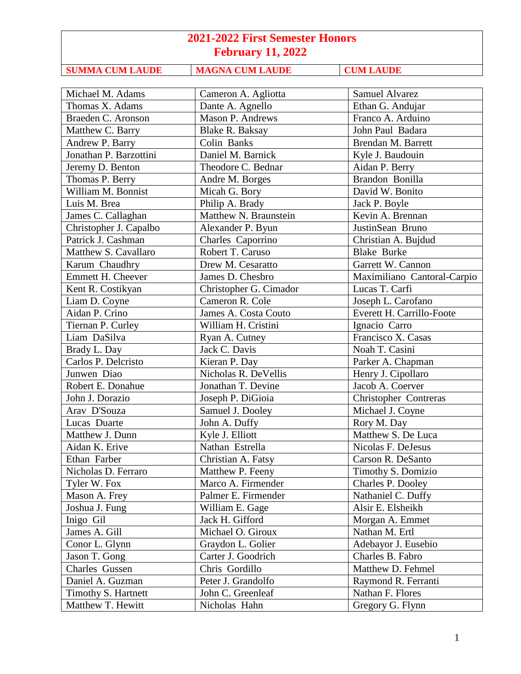**SUMMA CUM LAUDE MAGNA CUM LAUDE CUM LAUDE** 

Michael M. Adams (Cameron A. Agliotta Samuel Alvarez Thomas X. Adams Dante A. Agnello Ethan G. Andujar Braeden C. Aronson Mason P. Andrews Franco A. Arduino Matthew C. Barry Blake R. Baksay John Paul Badara Andrew P. Barry Colin Banks | Brendan M. Barrett Jonathan P. Barzottini Daniel M. Barnick Kyle J. Baudouin Jeremy D. Benton Theodore C. Bednar | Aidan P. Berry Thomas P. Berry Andre M. Borges Randon Bonilla William M. Bonnist Micah G. Bory | David W. Bonito Luis M. Brea Philip A. Brady Jack P. Boyle James C. Callaghan Matthew N. Braunstein Kevin A. Brennan Christopher J. Capalbo | Alexander P. Byun | JustinSean Bruno Patrick J. Cashman Charles Caporrino Christian A. Bujdud Matthew S. Cavallaro Robert T. Caruso Research Blake Burke Karum Chaudhry **Drew M. Cesaratto** Garrett W. Cannon Emmett H. Cheever James D. Chesbro Maximiliano Cantoral-Carpio Kent R. Costikyan Christopher G. Cimador Lucas T. Carfi Liam D. Coyne Cameron R. Cole Joseph L. Carofano Aidan P. Crino James A. Costa Couto Everett H. Carrillo-Foote Tiernan P. Curley | William H. Cristini | Ignacio Carro Liam DaSilva Ryan A. Cutney Francisco X. Casas Brady L. Day Jack C. Davis Noah T. Casini Carlos P. Delcristo Kieran P. Day Parker A. Chapman Junwen Diao Nicholas R. DeVellis Henry J. Cipollaro Robert E. Donahue Jonathan T. Devine Jacob A. Coerver John J. Dorazio Joseph P. DiGioia Christopher Contreras Arav D'Souza Samuel J. Dooley Michael J. Coyne Lucas Duarte John A. Duffy Rory M. Day Matthew J. Dunn Kyle J. Elliott Matthew S. De Luca Aidan K. Erive Nathan Estrella Nicolas F. DeJesus Ethan Farber | Christian A. Fatsy | Carson R. DeSanto Nicholas D. Ferraro Matthew P. Feeny Timothy S. Domizio Tyler W. Fox Marco A. Firmender | Charles P. Dooley Mason A. Frey Palmer E. Firmender Nathaniel C. Duffy Joshua J. Fung William E. Gage Alsir E. Elsheikh Inigo Gil Jack H. Gifford Morgan A. Emmet James A. Gill Michael O. Giroux Nathan M. Ertl Conor L. Glynn Graydon L. Golier Adebayor J. Eusebio Jason T. Gong | Carter J. Goodrich | Charles B. Fabro Charles Gussen Chris Gordillo Matthew D. Fehmel Daniel A. Guzman Peter J. Grandolfo Raymond R. Ferranti Timothy S. Hartnett John C. Greenleaf Nathan F. Flores Matthew T. Hewitt  $\parallel$  Nicholas Hahn  $\parallel$  Gregory G. Flynn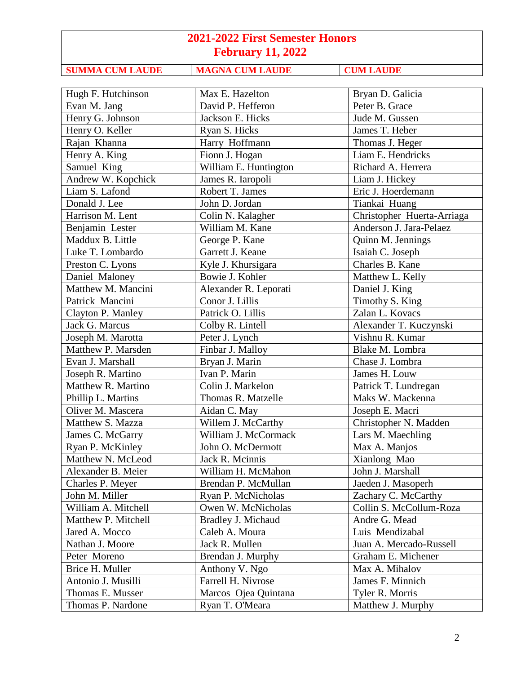**SUMMA CUM LAUDE MAGNA CUM LAUDE CUM LAUDE** 

| Hugh F. Hutchinson  | Max E. Hazelton       | Bryan D. Galicia           |
|---------------------|-----------------------|----------------------------|
| Evan M. Jang        | David P. Hefferon     | Peter B. Grace             |
| Henry G. Johnson    | Jackson E. Hicks      | Jude M. Gussen             |
| Henry O. Keller     | Ryan S. Hicks         | James T. Heber             |
| Rajan Khanna        | Harry Hoffmann        | Thomas J. Heger            |
| Henry A. King       | Fionn J. Hogan        | Liam E. Hendricks          |
| Samuel King         | William E. Huntington | Richard A. Herrera         |
| Andrew W. Kopchick  | James R. Iaropoli     | Liam J. Hickey             |
| Liam S. Lafond      | Robert T. James       | Eric J. Hoerdemann         |
| Donald J. Lee       | John D. Jordan        | Tiankai Huang              |
| Harrison M. Lent    | Colin N. Kalagher     | Christopher Huerta-Arriaga |
| Benjamin Lester     | William M. Kane       | Anderson J. Jara-Pelaez    |
| Maddux B. Little    | George P. Kane        | Quinn M. Jennings          |
| Luke T. Lombardo    | Garrett J. Keane      | Isaiah C. Joseph           |
| Preston C. Lyons    | Kyle J. Khursigara    | Charles B. Kane            |
| Daniel Maloney      | Bowie J. Kohler       | Matthew L. Kelly           |
| Matthew M. Mancini  | Alexander R. Leporati | Daniel J. King             |
| Patrick Mancini     | Conor J. Lillis       | Timothy S. King            |
| Clayton P. Manley   | Patrick O. Lillis     | Zalan L. Kovacs            |
| Jack G. Marcus      | Colby R. Lintell      | Alexander T. Kuczynski     |
| Joseph M. Marotta   | Peter J. Lynch        | Vishnu R. Kumar            |
| Matthew P. Marsden  | Finbar J. Malloy      | Blake M. Lombra            |
| Evan J. Marshall    | Bryan J. Marin        | Chase J. Lombra            |
| Joseph R. Martino   | Ivan P. Marin         | James H. Louw              |
| Matthew R. Martino  | Colin J. Markelon     | Patrick T. Lundregan       |
| Phillip L. Martins  | Thomas R. Matzelle    | Maks W. Mackenna           |
| Oliver M. Mascera   | Aidan C. May          | Joseph E. Macri            |
| Matthew S. Mazza    | Willem J. McCarthy    | Christopher N. Madden      |
| James C. McGarry    | William J. McCormack  | Lars M. Maechling          |
| Ryan P. McKinley    | John O. McDermott     | Max A. Manjos              |
| Matthew N. McLeod   | Jack R. Mcinnis       | Xianlong Mao               |
| Alexander B. Meier  | William H. McMahon    | John J. Marshall           |
| Charles P. Meyer    | Brendan P. McMullan   | Jaeden J. Masoperh         |
| John M. Miller      | Ryan P. McNicholas    | Zachary C. McCarthy        |
| William A. Mitchell | Owen W. McNicholas    | Collin S. McCollum-Roza    |
| Matthew P. Mitchell | Bradley J. Michaud    | Andre G. Mead              |
| Jared A. Mocco      | Caleb A. Moura        | Luis Mendizabal            |
| Nathan J. Moore     | Jack R. Mullen        | Juan A. Mercado-Russell    |
| Peter Moreno        | Brendan J. Murphy     | Graham E. Michener         |
| Brice H. Muller     | Anthony V. Ngo        | Max A. Mihalov             |
| Antonio J. Musilli  | Farrell H. Nivrose    | James F. Minnich           |
| Thomas E. Musser    | Marcos Ojea Quintana  | Tyler R. Morris            |
| Thomas P. Nardone   | Ryan T. O'Meara       | Matthew J. Murphy          |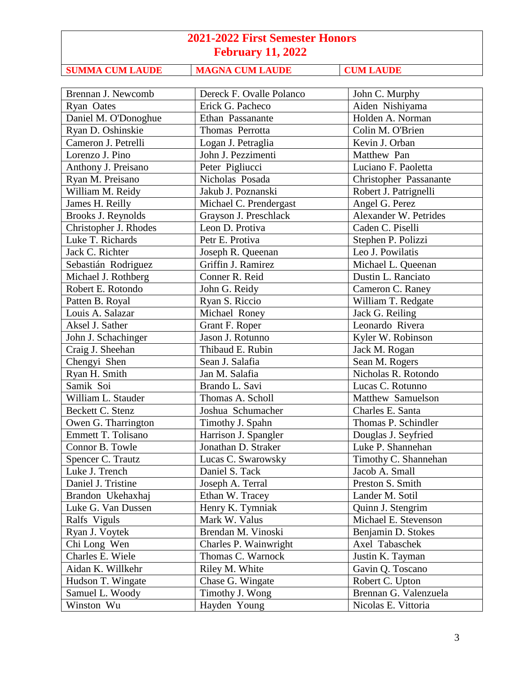**SUMMA CUM LAUDE MAGNA CUM LAUDE CUM LAUDE** 

| Brennan J. Newcomb        | Dereck F. Ovalle Polanco | John C. Murphy         |
|---------------------------|--------------------------|------------------------|
| Ryan Oates                | Erick G. Pacheco         | Aiden Nishiyama        |
| Daniel M. O'Donoghue      | Ethan Passanante         | Holden A. Norman       |
| Ryan D. Oshinskie         | Thomas Perrotta          | Colin M. O'Brien       |
| Cameron J. Petrelli       | Logan J. Petraglia       | Kevin J. Orban         |
| Lorenzo J. Pino           | John J. Pezzimenti       | Matthew Pan            |
| Anthony J. Preisano       | Peter Pigliucci          | Luciano F. Paoletta    |
| Ryan M. Preisano          | Nicholas Posada          | Christopher Passanante |
| William M. Reidy          | Jakub J. Poznanski       | Robert J. Patrignelli  |
| James H. Reilly           | Michael C. Prendergast   | Angel G. Perez         |
| Brooks J. Reynolds        | Grayson J. Preschlack    | Alexander W. Petrides  |
| Christopher J. Rhodes     | Leon D. Protiva          | Caden C. Piselli       |
| Luke T. Richards          | Petr E. Protiva          | Stephen P. Polizzi     |
| Jack C. Richter           | Joseph R. Queenan        | Leo J. Powilatis       |
| Sebastián Rodriguez       | Griffin J. Ramirez       | Michael L. Queenan     |
| Michael J. Rothberg       | Conner R. Reid           | Dustin L. Ranciato     |
| Robert E. Rotondo         | John G. Reidy            | Cameron C. Raney       |
| Patten B. Royal           | Ryan S. Riccio           | William T. Redgate     |
| Louis A. Salazar          | Michael Roney            | Jack G. Reiling        |
| Aksel J. Sather           | Grant F. Roper           | Leonardo Rivera        |
| John J. Schachinger       | Jason J. Rotunno         | Kyler W. Robinson      |
| Craig J. Sheehan          | Thibaud E. Rubin         | Jack M. Rogan          |
| Chengyi Shen              | Sean J. Salafia          | Sean M. Rogers         |
| Ryan H. Smith             | Jan M. Salafia           | Nicholas R. Rotondo    |
| Samik Soi                 | Brando L. Savi           | Lucas C. Rotunno       |
| William L. Stauder        | Thomas A. Scholl         | Matthew Samuelson      |
| Beckett C. Stenz          | Joshua Schumacher        | Charles E. Santa       |
| Owen G. Tharrington       | Timothy J. Spahn         | Thomas P. Schindler    |
| <b>Emmett T. Tolisano</b> | Harrison J. Spangler     | Douglas J. Seyfried    |
| Connor B. Towle           | Jonathan D. Straker      | Luke P. Shannehan      |
| Spencer C. Trautz         | Lucas C. Swarowsky       | Timothy C. Shannehan   |
| Luke J. Trench            | Daniel S. Tack           | Jacob A. Small         |
| Daniel J. Tristine        | Joseph A. Terral         | Preston S. Smith       |
| Brandon Ukehaxhaj         | Ethan W. Tracey          | Lander M. Sotil        |
| Luke G. Van Dussen        | Henry K. Tymniak         | Quinn J. Stengrim      |
| Ralfs Viguls              | Mark W. Valus            | Michael E. Stevenson   |
| Ryan J. Voytek            | Brendan M. Vinoski       | Benjamin D. Stokes     |
| Chi Long Wen              | Charles P. Wainwright    | Axel Tabaschek         |
| Charles E. Wiele          | Thomas C. Warnock        | Justin K. Tayman       |
| Aidan K. Willkehr         | Riley M. White           | Gavin Q. Toscano       |
| Hudson T. Wingate         | Chase G. Wingate         | Robert C. Upton        |
| Samuel L. Woody           | Timothy J. Wong          | Brennan G. Valenzuela  |
| Winston Wu                | Hayden Young             | Nicolas E. Vittoria    |